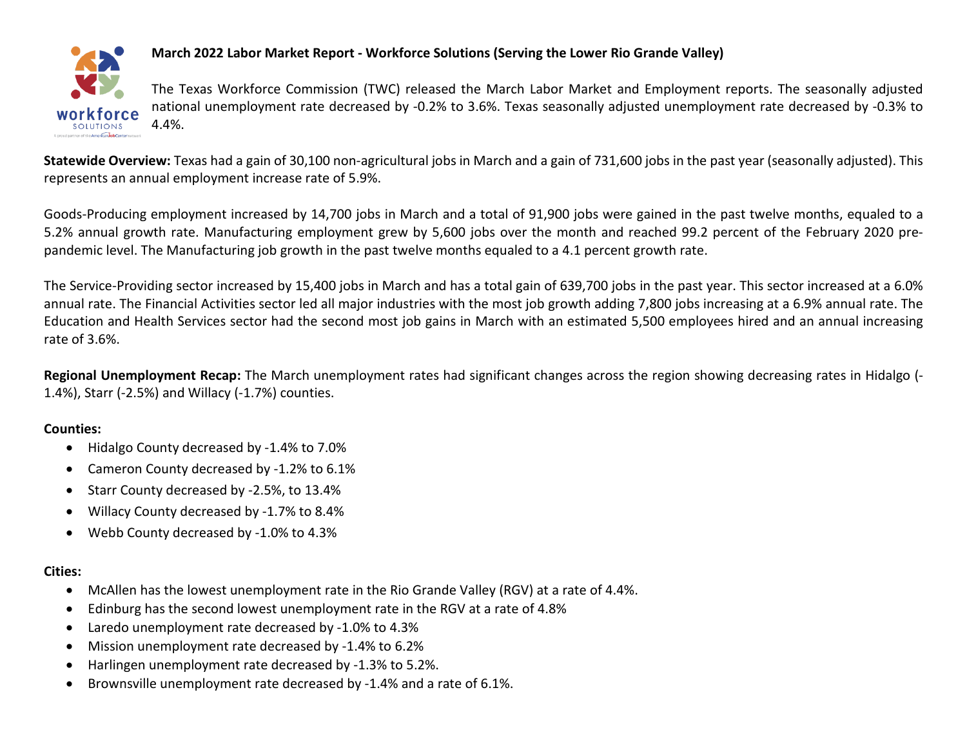

## **March 2022 Labor Market Report - Workforce Solutions (Serving the Lower Rio Grande Valley)**

The Texas Workforce Commission (TWC) released the March Labor Market and Employment reports. The seasonally adjusted national unemployment rate decreased by -0.2% to 3.6%. Texas seasonally adjusted unemployment rate decreased by -0.3% to 4.4%.

Statewide Overview: Texas had a gain of 30,100 non-agricultural jobs in March and a gain of 731,600 jobs in the past year (seasonally adjusted). This represents an annual employment increase rate of 5.9%.

Goods-Producing employment increased by 14,700 jobs in March and a total of 91,900 jobs were gained in the past twelve months, equaled to a 5.2% annual growth rate. Manufacturing employment grew by 5,600 jobs over the month and reached 99.2 percent of the February 2020 prepandemic level. The Manufacturing job growth in the past twelve months equaled to a 4.1 percent growth rate.

The Service-Providing sector increased by 15,400 jobs in March and has a total gain of 639,700 jobs in the past year. This sector increased at a 6.0% annual rate. The Financial Activities sector led all major industries with the most job growth adding 7,800 jobs increasing at a 6.9% annual rate. The Education and Health Services sector had the second most job gains in March with an estimated 5,500 employees hired and an annual increasing rate of 3.6%.

**Regional Unemployment Recap:** The March unemployment rates had significant changes across the region showing decreasing rates in Hidalgo (- 1.4%), Starr (-2.5%) and Willacy (-1.7%) counties.

## **Counties:**

- Hidalgo County decreased by -1.4% to 7.0%
- Cameron County decreased by -1.2% to 6.1%
- Starr County decreased by -2.5%, to 13.4%
- Willacy County decreased by -1.7% to 8.4%
- Webb County decreased by -1.0% to 4.3%

# **Cities:**

- McAllen has the lowest unemployment rate in the Rio Grande Valley (RGV) at a rate of 4.4%.
- Edinburg has the second lowest unemployment rate in the RGV at a rate of 4.8%
- Laredo unemployment rate decreased by -1.0% to 4.3%
- Mission unemployment rate decreased by -1.4% to 6.2%
- Harlingen unemployment rate decreased by -1.3% to 5.2%.
- Brownsville unemployment rate decreased by -1.4% and a rate of 6.1%.